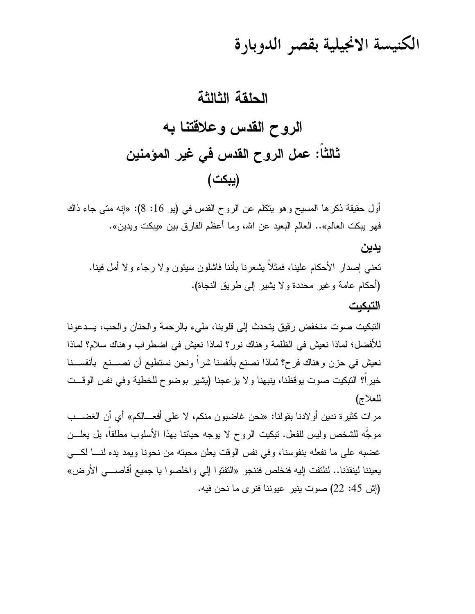# الكنيسة الانجيلية بقصر الدوبارة

### الحلقة الثالثة

الروح القدس وعلاقتنا به ثالثا: عمل الروح القدس في غير المؤمنين (يبكت)

أول حقيقة ذكرها المسيح وهو يتكلَّم عن الروح القدس في (يو 16: 8): «إنه متى جاء ذاك فهو يبكت العالم».. العالم البعيد عن الله، وما أعظم الفارق بين «يبكت ويدين».

#### يدين

نعني إصدار الأحكام علينا، فمثلاً يشعرنا بأننا فاشلون سيئون ولا رجاء ولا أمل فينا. (أحكام عامة وغير محددة ولا بشير إلى طريق النجاة). التبكيت

النبكيت صوت منخفض رقيق يتحدث إلى قلوبنا، مليء بالرحمة والحنان والحب، يــدعونا للأفضل؛ لماذا نعيش في الظلمة وهناك نور؟ لماذا نعيش في اضطراب وهناك سلام؟ لماذا نعيش في حزن وهناك فرح؟ لماذا نصنع بأنفسنا شراً ونحن نستطيع أن نصـــنـع بأنفســـنا خيراً؟ التبكيت صوت يوقظنا، ينبهنا ولا يزعجنا (يشير بوضوح للخطية وفي نفس الوقــت للعلاج)

مرات كثيرة ندين أو لادنا بقولنا: «نحن غاضبون منكم، لا على أفعـــالكم» أي أن الغضـــب موجَّه للشخص وليس للفعل. ننكيت الروح لا يوجه حيانتا بهذا الأسلوب مطلقاً، بل يعلـــن غضبه على ما نفعله بنفوسنا، وفي نفس الوقت يعلن محبته من نحونا ويمد يده لنسا لكسى يعيننا لينقذنا.. لنلتفت إليه فنخلص فننجو «التفتوا إلى واخلصوا يا جميع أقاصـــي الأرض» (إش 45: 22) صوت ينير عيوننا فنرى ما نحن فيه.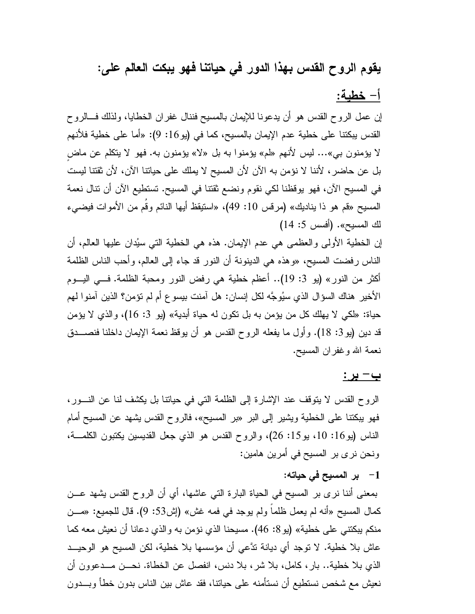## يقوم الروح القدس بهذا الدور في حياتنا فهو يبكت العالم على:

#### أ– خطية:

إن عمل الروح القدس هو أن يدعونا للإيمان بالمسيح فننال غفران الخطايا، ولذلك فـــالروح القدس يبكتنا على خطية عدم الإيمان بالمسيح، كما في (يو 16: 9): «أما على خطية فلأنهم لا يؤمنون بي»… ليس لأنهم «لم» يؤمنوا به بل «لا» يؤمنون به. فهو لا يتكلَّم عن ماض بل عن حاضر ، لأننا لا نؤمن به الآن لأن المسيح لا يملك على حياتنا الآن، لأن ثقتنا ليست في المسيح الآن، فهو يوقظنا لكي نقوم ونضع ثقتنا في المسيح. تستطيع الآن أن نتال نعمة المسيح «قم هو ذا يناديك» (مرفس 10: 49)، «استيقظ أيها النائم وقَم من الأموات فيضيىء لك المسيح». (أفسس 5: 14)

إن الخطية الأولى والعظمى هي عدم الإيمان. هذه هي الخطية التي سيُدان عليها العالم، أن الناس رفضت المسيح، «وهذه هي الدينونة أن النور قد جاء إلى العالم، وأحب الناس الظلمة أكثر من النور» (بو 3: 19).. أعظم خطبة هي رفض النور ومحبة الظلمة. فـــي البـــوم الأخير هناك السؤال الذي سيُوجَّه لكل إنسان: هل آمنت بيسو ع أم لم تؤمن؟ الذين آمنوا لهم حياة: «لكي لا يهلك كل من يؤمن به بل نكون له حياة أبدية» (يو 3: 16)، والذي لا يؤمن قد دين (يو 3: 18). وأول ما يفعله الروح القدس هو أن يوقظ نعمة الإيمان داخلنا فنصـــدق نعمة الله وغفران المسيح.

#### <u>ب- بر:</u>

الروح القدس لا يتوقف عند الإشارة إلى الظلمة التي في حياتنا بل يكشف لنا عن النسور، فهو بيكتنا على الخطية ويشير إلى البر «بر المسيح»، فالروح القدس يشهد عن المسيح أمام الناس (يو16: 10، يو15: 26)، والروح القدس هو الذي جعل القديسين يكتبون الكلمــة، ونحن نرى بر المسيح في أمرين هامين:

1– بر المسيح في حياته:

بمعنى أننا نرى بر المسيح في الحياة البارة التي عاشها، أي أن الروح القدس بشهد عـــن كمال المسيح «أنه لم يعمل ظلماً ولم يوجد في فمه غش» (إش53: 9). قال للجميع: «مـــن منكم يبكتني على خطية» (يو 8: 46). مسيحنا الذي نؤمن به والذي دعانا أن نعيش معه كما عاش بلا خطية. لا نوجد أي ديانة ندَّعي أن مؤسسها بلا خطية، لكن المسيح هو الوحيــد الذي بلا خطية.. بار ، كامل، بلا شر ، بلا دنس، انفصل عن الخطاة. نحـــن مـــدعوون أن نعيش مع شخص نستطيع أن نستأمنه على حياتنا، فقد عاش بين الناس بدون خطأ وبــــدون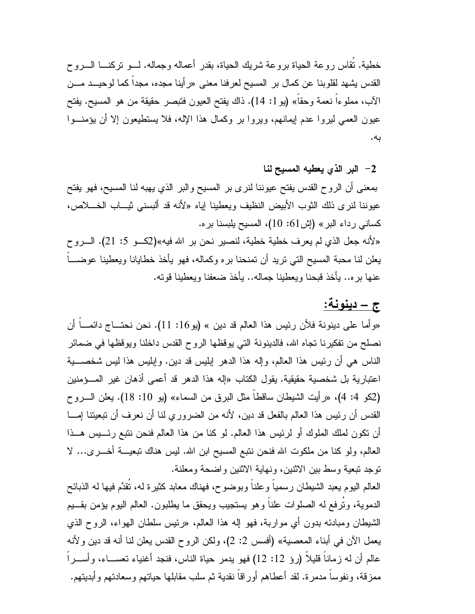خطية. تُقاس روعة الحياة بروعة شريك الحياة، بقدر أعماله وجماله. لـــو نركنــــا الــــروح القدس يشهد لقلوبنا عن كمال بر المسيح لعرفنا معنى «رأينا مجده، مجداً كما لوحيــد مـــن الآب، مملوءا نعمة وحقًا» (يو 1: 14). ذاك يفتح العيون فتبصر حقيقة من هو المسيح. يفتح عيون العمي ليروا عدم إيمانهم، ويروا بر وكمال هذا الإله، فلا يستطيعون إلا أن يؤمنـــوا ىە.

#### 2– البر الذي يعطيه المسيح لنا

بمعنى أن الروح القدس يفتح عيوننا لنرى بر المسيح والبر الذي يهبه لنا المسيح، فهو يفتح عيوننا لنرى ذلك الثوب الأبيض النظيف ويعطينا إياه «لأنه قد ألبسني ثيـــاب الخــــلاص، كساني رداء البر» (إش:61: 10)، المسيح يلبسنا بره. «لأنه جعل الذي لم يعرف خطية خطية، لنصير نحن بر الله فيه»(2كـو 5: 21). السروح

يعلن لنا محبة المسيح التي تريد أن تمنحنا بر ه وكماله، فهو يأخذ خطايانا ويعطينا عوضــــا عنها بره.. يأخذ قبحنا ويعطينا جماله.. يأخذ ضعفنا ويعطينا قوته.

## ج – دبنونة:

«وأما على دينونة فلأن رئيس هذا العالم قد دين » (يو 16: 11). نحن نحتـــاج دائمــــا أن نصلح من نفكيرنا نجاه الله، فالدينونة التي يوقظها الروح القدس داخلنا ويوقظها في ضمائر الناس هي أن رئيس هذا العالم، وإله هذا الدهر إبليس قد دين. وإبليس هذا ليس شخصــــية اعتبارية بل شخصية حقيقية. يقول الكتاب «إله هذا الدهر قد أعمى أذهان غير المـــؤمنين (2كو 4: 4)، «رأيت الشيطان ساقطا مثل البرق من السماء» (يو 10: 18). يعلن السروح القدس أن رئيس هذا العالم بالفعل قد دين، لأنه من الضروري لنا أن نعرف أن نبعيتنا إمـــا أن تكون لملك الملوك أو لرئيس هذا العالم. لو كنا من هذا العالم فنحن نتبع رئـــيس هـــذا العالم، ولو كنا من ملكوت الله فنحن نتبع المسيح ابن الله. ليس هناك نبعيــــة أخــــرى... لا توجد تبعية وسط بين الاثنين، ونهاية الاثنين واضحة ومعلنة.

العالم اليوم يعبد الشيطان رسمياً وعلناً وبوضوح، فهناك معابد كثيرة له، نُقدَّم فيها له الذبائح الدموية، وتُرفع له الصلوات علناً وهو يستجيب ويحقق ما يطلبون. العالم اليوم بؤمن بقـــيم الشَّيطان ومبادئه بدون أي مواربة، فهو إله هذا العالم، «رئيس سلطان الهواء، الروح الذي يعمل الآن في أبناء المعصية» (أفسس 2: 2)، ولكن الروح القدس يعلن لنا أنه قد دين ولأنه عالم أن له زماناً فليلاً (روْ 12: 12) فهو يدمر حياة الناس، فنجد أغنياء نعســـاء، وأســـراً ممزقة، ونفوساً مدمرة. لقد أعطاهم أوراقاً نقدية ثم سلب مقابلها حياتهم وسعادتهم وأبديتهم.